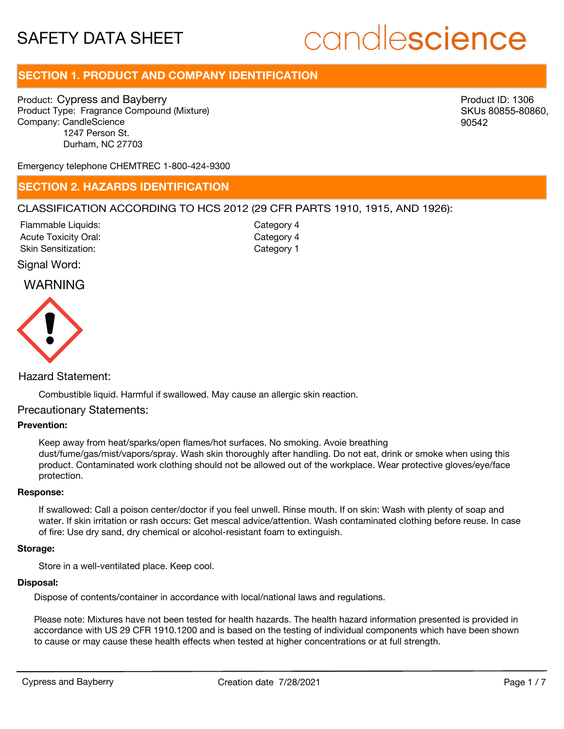# candlescience

# **SECTION 1. PRODUCT AND COMPANY IDENTIFICATION**

Product: Cypress and Bayberry Product Type: Fragrance Compound (Mixture) Company: CandleScience 1247 Person St. Durham, NC 27703

Product ID: 1306 SKUs 80855-80860, 90542

Emergency telephone CHEMTREC 1-800-424-9300

### **SECTION 2. HAZARDS IDENTIFICATION**

#### CLASSIFICATION ACCORDING TO HCS 2012 (29 CFR PARTS 1910, 1915, AND 1926):

Acute Toxicity Oral: Skin Sensitization: Flammable Liquids:

Category 4 Category 1 Category 4

#### Signal Word:

## WARNING



#### Hazard Statement:

Combustible liquid. Harmful if swallowed. May cause an allergic skin reaction.

#### Precautionary Statements:

#### **Prevention:**

Keep away from heat/sparks/open flames/hot surfaces. No smoking. Avoie breathing dust/fume/gas/mist/vapors/spray. Wash skin thoroughly after handling. Do not eat, drink or smoke when using this product. Contaminated work clothing should not be allowed out of the workplace. Wear protective gloves/eye/face protection.

#### **Response:**

If swallowed: Call a poison center/doctor if you feel unwell. Rinse mouth. If on skin: Wash with plenty of soap and water. If skin irritation or rash occurs: Get mescal advice/attention. Wash contaminated clothing before reuse. In case of fire: Use dry sand, dry chemical or alcohol-resistant foam to extinguish.

#### **Storage:**

Store in a well-ventilated place. Keep cool.

#### **Disposal:**

Dispose of contents/container in accordance with local/national laws and regulations.

Please note: Mixtures have not been tested for health hazards. The health hazard information presented is provided in accordance with US 29 CFR 1910.1200 and is based on the testing of individual components which have been shown to cause or may cause these health effects when tested at higher concentrations or at full strength.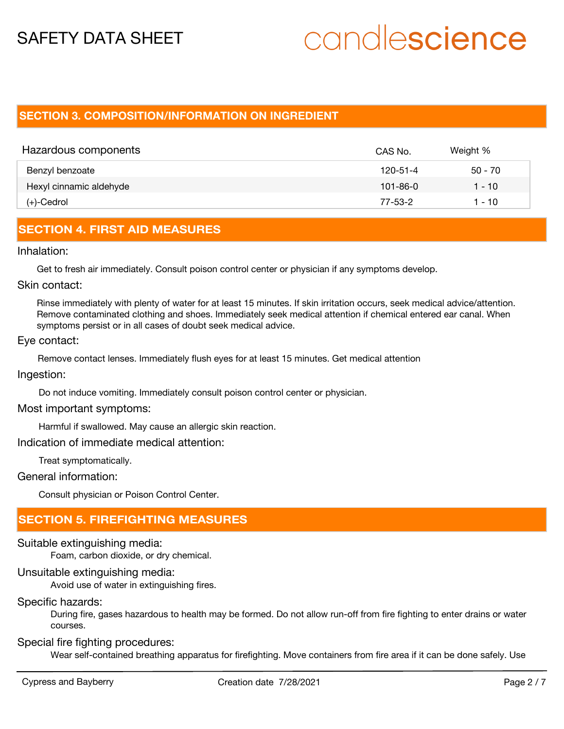# candlescience

## **SECTION 3. COMPOSITION/INFORMATION ON INGREDIENT**

| Hazardous components    | CAS No.        | Weight %  |
|-------------------------|----------------|-----------|
| Benzyl benzoate         | 120-51-4       | $50 - 70$ |
| Hexyl cinnamic aldehyde | $101 - 86 - 0$ | 1 - 10    |
| (+)-Cedrol              | 77-53-2        | 1 - 10    |

## **SECTION 4. FIRST AID MEASURES**

Inhalation:

Get to fresh air immediately. Consult poison control center or physician if any symptoms develop.

#### Skin contact:

Rinse immediately with plenty of water for at least 15 minutes. If skin irritation occurs, seek medical advice/attention. Remove contaminated clothing and shoes. Immediately seek medical attention if chemical entered ear canal. When symptoms persist or in all cases of doubt seek medical advice.

#### Eye contact:

Remove contact lenses. Immediately flush eyes for at least 15 minutes. Get medical attention

Ingestion:

Do not induce vomiting. Immediately consult poison control center or physician.

#### Most important symptoms:

Harmful if swallowed. May cause an allergic skin reaction.

Indication of immediate medical attention:

Treat symptomatically.

General information:

Consult physician or Poison Control Center.

# **SECTION 5. FIREFIGHTING MEASURES**

#### Suitable extinguishing media:

Foam, carbon dioxide, or dry chemical.

#### Unsuitable extinguishing media:

Avoid use of water in extinguishing fires.

#### Specific hazards:

During fire, gases hazardous to health may be formed. Do not allow run-off from fire fighting to enter drains or water courses.

#### Special fire fighting procedures:

Wear self-contained breathing apparatus for firefighting. Move containers from fire area if it can be done safely. Use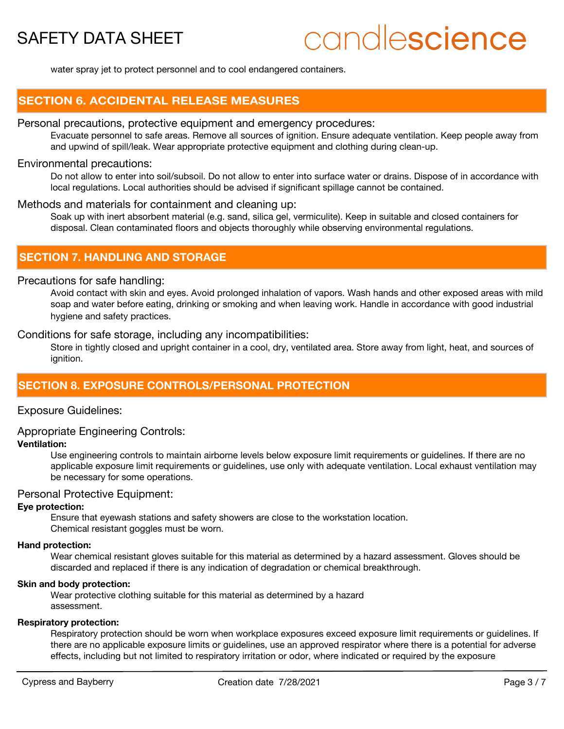# candlescience

water spray jet to protect personnel and to cool endangered containers.

### **SECTION 6. ACCIDENTAL RELEASE MEASURES**

#### Personal precautions, protective equipment and emergency procedures:

Evacuate personnel to safe areas. Remove all sources of ignition. Ensure adequate ventilation. Keep people away from and upwind of spill/leak. Wear appropriate protective equipment and clothing during clean-up.

#### Environmental precautions:

Do not allow to enter into soil/subsoil. Do not allow to enter into surface water or drains. Dispose of in accordance with local regulations. Local authorities should be advised if significant spillage cannot be contained.

#### Methods and materials for containment and cleaning up:

Soak up with inert absorbent material (e.g. sand, silica gel, vermiculite). Keep in suitable and closed containers for disposal. Clean contaminated floors and objects thoroughly while observing environmental regulations.

### **SECTION 7. HANDLING AND STORAGE**

#### Precautions for safe handling:

Avoid contact with skin and eyes. Avoid prolonged inhalation of vapors. Wash hands and other exposed areas with mild soap and water before eating, drinking or smoking and when leaving work. Handle in accordance with good industrial hygiene and safety practices.

Conditions for safe storage, including any incompatibilities:

Store in tightly closed and upright container in a cool, dry, ventilated area. Store away from light, heat, and sources of ignition.

### **SECTION 8. EXPOSURE CONTROLS/PERSONAL PROTECTION**

#### Exposure Guidelines:

#### Appropriate Engineering Controls:

#### **Ventilation:**

Use engineering controls to maintain airborne levels below exposure limit requirements or guidelines. If there are no applicable exposure limit requirements or guidelines, use only with adequate ventilation. Local exhaust ventilation may be necessary for some operations.

#### Personal Protective Equipment:

#### **Eye protection:**

Ensure that eyewash stations and safety showers are close to the workstation location. Chemical resistant goggles must be worn.

#### **Hand protection:**

Wear chemical resistant gloves suitable for this material as determined by a hazard assessment. Gloves should be discarded and replaced if there is any indication of degradation or chemical breakthrough.

#### **Skin and body protection:**

Wear protective clothing suitable for this material as determined by a hazard assessment.

#### **Respiratory protection:**

Respiratory protection should be worn when workplace exposures exceed exposure limit requirements or guidelines. If there are no applicable exposure limits or guidelines, use an approved respirator where there is a potential for adverse effects, including but not limited to respiratory irritation or odor, where indicated or required by the exposure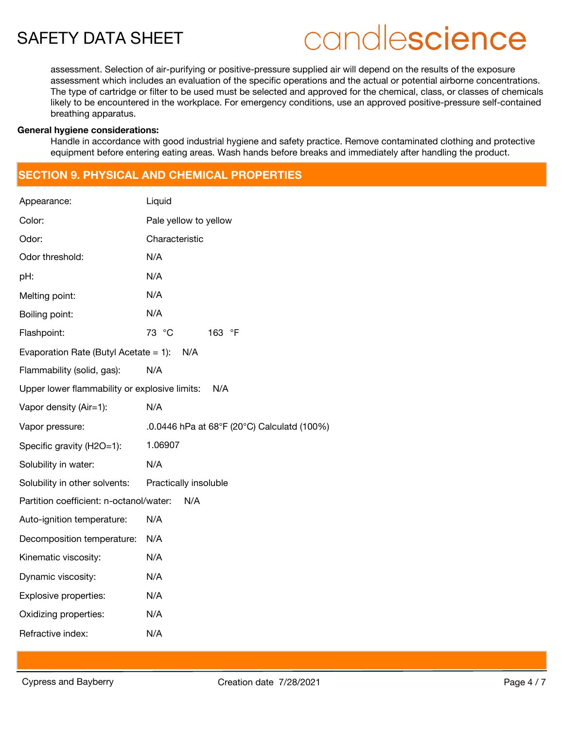# candlescience

assessment. Selection of air-purifying or positive-pressure supplied air will depend on the results of the exposure assessment which includes an evaluation of the specific operations and the actual or potential airborne concentrations. The type of cartridge or filter to be used must be selected and approved for the chemical, class, or classes of chemicals likely to be encountered in the workplace. For emergency conditions, use an approved positive-pressure self-contained breathing apparatus.

#### **General hygiene considerations:**

Handle in accordance with good industrial hygiene and safety practice. Remove contaminated clothing and protective equipment before entering eating areas. Wash hands before breaks and immediately after handling the product.

# **SECTION 9. PHYSICAL AND CHEMICAL PROPERTIES**

| Appearance:                                   | Liquid                                      |
|-----------------------------------------------|---------------------------------------------|
| Color:                                        | Pale yellow to yellow                       |
| Odor:                                         | Characteristic                              |
| Odor threshold:                               | N/A                                         |
| pH:                                           | N/A                                         |
| Melting point:                                | N/A                                         |
| Boiling point:                                | N/A                                         |
| Flashpoint:                                   | 73 °C<br>163 °F                             |
| Evaporation Rate (Butyl Acetate = 1):         | N/A                                         |
| Flammability (solid, gas):                    | N/A                                         |
| Upper lower flammability or explosive limits: | N/A                                         |
| Vapor density (Air=1):                        | N/A                                         |
| Vapor pressure:                               | .0.0446 hPa at 68°F (20°C) Calculatd (100%) |
| Specific gravity (H2O=1):                     | 1.06907                                     |
| Solubility in water:                          | N/A                                         |
| Solubility in other solvents:                 | Practically insoluble                       |
| Partition coefficient: n-octanol/water:       | N/A                                         |
| Auto-ignition temperature:                    | N/A                                         |
| Decomposition temperature:                    | N/A                                         |
| Kinematic viscosity:                          | N/A                                         |
| Dynamic viscosity:                            | N/A                                         |
| Explosive properties:                         | N/A                                         |
| Oxidizing properties:                         | N/A                                         |
| Refractive index:                             | N/A                                         |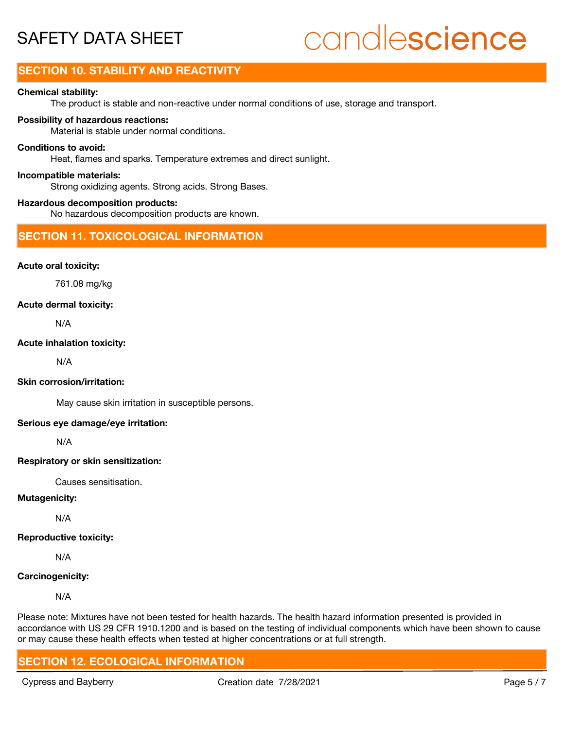# candlescience

# **SECTION 10. STABILITY AND REACTIVITY**

#### **Chemical stability:**

The product is stable and non-reactive under normal conditions of use, storage and transport.

#### **Possibility of hazardous reactions:**

Material is stable under normal conditions.

#### **Conditions to avoid:**

Heat, flames and sparks. Temperature extremes and direct sunlight.

#### **Incompatible materials:**

Strong oxidizing agents. Strong acids. Strong Bases.

#### **Hazardous decomposition products:**

No hazardous decomposition products are known.

### **SECTION 11. TOXICOLOGICAL INFORMATION**

#### **Acute oral toxicity:**

761.08 mg/kg

#### **Acute dermal toxicity:**

N/A

#### **Acute inhalation toxicity:**

N/A

#### **Skin corrosion/irritation:**

May cause skin irritation in susceptible persons.

#### **Serious eye damage/eye irritation:**

N/A

#### **Respiratory or skin sensitization:**

Causes sensitisation.

#### **Mutagenicity:**

N/A

### **Reproductive toxicity:**

N/A

### **Carcinogenicity:**

N/A

Please note: Mixtures have not been tested for health hazards. The health hazard information presented is provided in accordance with US 29 CFR 1910.1200 and is based on the testing of individual components which have been shown to cause or may cause these health effects when tested at higher concentrations or at full strength.

# **SECTION 12. ECOLOGICAL INFORMATION**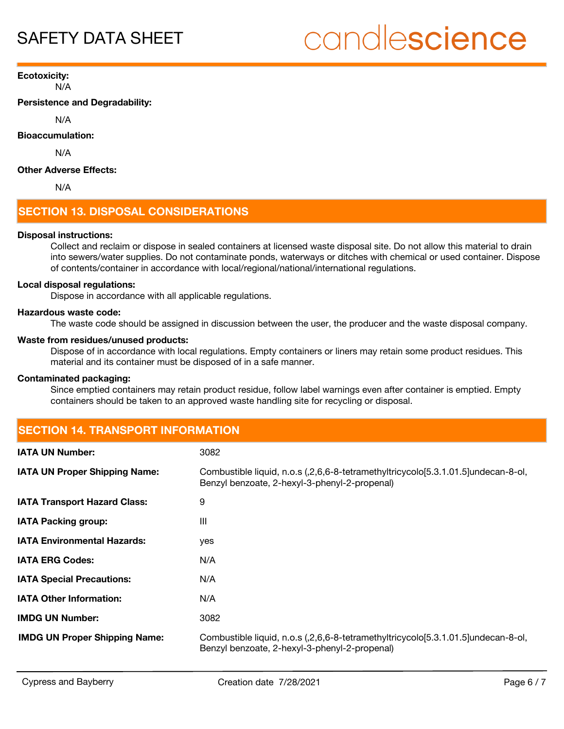# candlescience

N/A **Ecotoxicity:**

**Persistence and Degradability:**

N/A

**Bioaccumulation:**

N/A

#### **Other Adverse Effects:**

N/A

# **SECTION 13. DISPOSAL CONSIDERATIONS**

#### **Disposal instructions:**

Collect and reclaim or dispose in sealed containers at licensed waste disposal site. Do not allow this material to drain into sewers/water supplies. Do not contaminate ponds, waterways or ditches with chemical or used container. Dispose of contents/container in accordance with local/regional/national/international regulations.

#### **Local disposal regulations:**

Dispose in accordance with all applicable regulations.

#### **Hazardous waste code:**

The waste code should be assigned in discussion between the user, the producer and the waste disposal company.

#### **Waste from residues/unused products:**

Dispose of in accordance with local regulations. Empty containers or liners may retain some product residues. This material and its container must be disposed of in a safe manner.

#### **Contaminated packaging:**

Since emptied containers may retain product residue, follow label warnings even after container is emptied. Empty containers should be taken to an approved waste handling site for recycling or disposal.

# **SECTION 14. TRANSPORT INFORMATION**

| <b>IATA UN Number:</b>               | 3082                                                                                                                               |
|--------------------------------------|------------------------------------------------------------------------------------------------------------------------------------|
| <b>IATA UN Proper Shipping Name:</b> | Combustible liquid, n.o.s (,2,6,6-8-tetramethyltricycolo[5.3.1.01.5]undecan-8-ol,<br>Benzyl benzoate, 2-hexyl-3-phenyl-2-propenal) |
| <b>IATA Transport Hazard Class:</b>  | 9                                                                                                                                  |
| <b>IATA Packing group:</b>           | Ш                                                                                                                                  |
| <b>IATA Environmental Hazards:</b>   | yes                                                                                                                                |
| <b>IATA ERG Codes:</b>               | N/A                                                                                                                                |
| <b>IATA Special Precautions:</b>     | N/A                                                                                                                                |
| <b>IATA Other Information:</b>       | N/A                                                                                                                                |
| <b>IMDG UN Number:</b>               | 3082                                                                                                                               |
| <b>IMDG UN Proper Shipping Name:</b> | Combustible liquid, n.o.s (,2,6,6-8-tetramethyltricycolo[5.3.1.01.5]undecan-8-ol,<br>Benzyl benzoate, 2-hexyl-3-phenyl-2-propenal) |